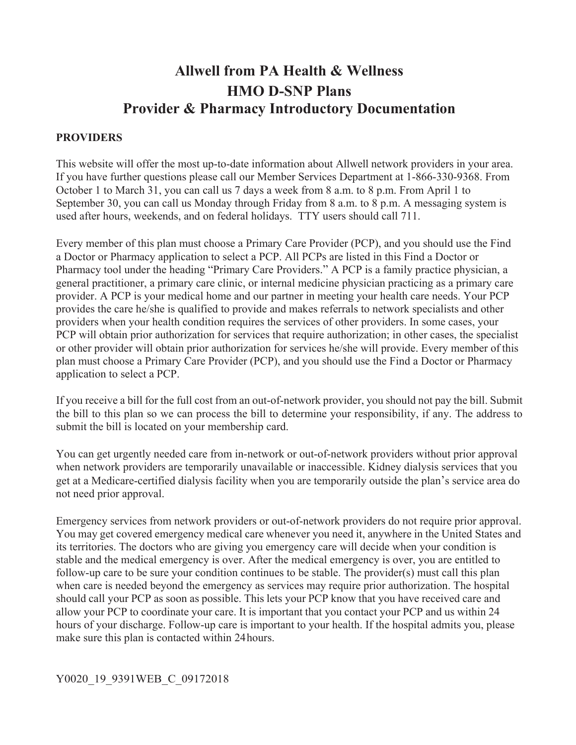# **Allwell from PA Health & Wellness HMO D-SNP Plans Provider & Pharmacy Introductory Documentation**

#### **PROVIDERS**

 October 1 to March 31, you can call us 7 days a week from 8 a.m. to 8 p.m. From April 1 to September 30, you can call us Monday through Friday from 8 a.m. to 8 p.m. A messaging system is This website will offer the most up-to-date information about Allwell network providers in your area. If you have further questions please call our Member Services Department at 1-866-330-9368. From used after hours, weekends, and on federal holidays. TTY users should call 711.

 plan must choose a Primary Care Provider (PCP), and you should use the Find a Doctor or Pharmacy Every member of this plan must choose a Primary Care Provider (PCP), and you should use the Find a Doctor or Pharmacy application to select a PCP. All PCPs are listed in this Find a Doctor or Pharmacy tool under the heading "Primary Care Providers." A PCP is a family practice physician, a general practitioner, a primary care clinic, or internal medicine physician practicing as a primary care provider. A PCP is your medical home and our partner in meeting your health care needs. Your PCP provides the care he/she is qualified to provide and makes referrals to network specialists and other providers when your health condition requires the services of other providers. In some cases, your PCP will obtain prior authorization for services that require authorization; in other cases, the specialist or other provider will obtain prior authorization for services he/she will provide. Every member of this application to select a PCP.

 the bill to this plan so we can process the bill to determine your responsibility, if any. The address to If you receive a bill for the full cost from an out-of-network provider, you should not pay the bill. Submit submit the bill is located on your membership card.

 get at a Medicare-certified dialysis facility when you are temporarily outside the plan's service area do You can get urgently needed care from in-network or out-of-network providers without prior approval when network providers are temporarily unavailable or inaccessible. Kidney dialysis services that you not need prior approval.

 make sure this plan is contacted within 24hours. Emergency services from network providers or out-of-network providers do not require prior approval. You may get covered emergency medical care whenever you need it, anywhere in the United States and its territories. The doctors who are giving you emergency care will decide when your condition is stable and the medical emergency is over. After the medical emergency is over, you are entitled to follow-up care to be sure your condition continues to be stable. The provider(s) must call this plan when care is needed beyond the emergency as services may require prior authorization. The hospital should call your PCP as soon as possible. This lets your PCP know that you have received care and allow your PCP to coordinate your care. It is important that you contact your PCP and us within 24 hours of your discharge. Follow-up care is important to your health. If the hospital admits you, please

#### Y0020\_19\_9391WEB\_C\_09172018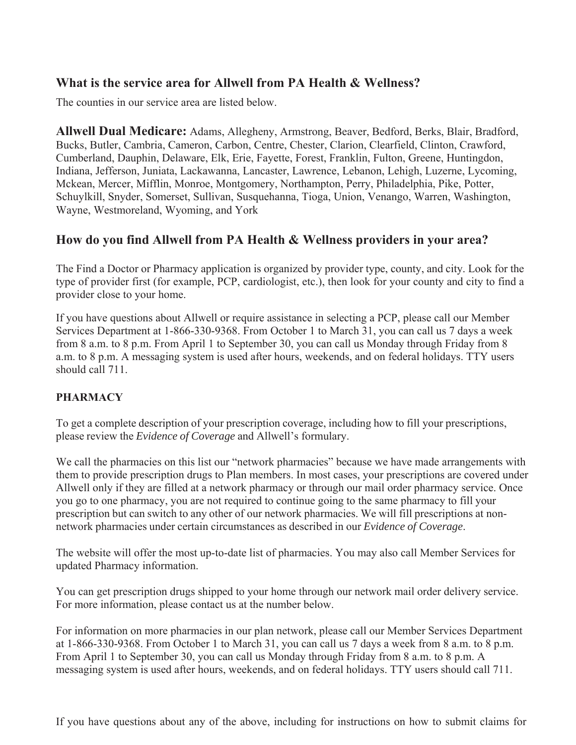## **What is the service area for Allwell from PA Health & Wellness?**

The counties in our service area are listed below.

**Allwell Dual Medicare:** Adams, Allegheny, Armstrong, Beaver, Bedford, Berks, Blair, Bradford, Bucks, Butler, Cambria, Cameron, Carbon, Centre, Chester, Clarion, Clearfield, Clinton, Crawford, Cumberland, Dauphin, Delaware, Elk, Erie, Fayette, Forest, Franklin, Fulton, Greene, Huntingdon, Indiana, Jefferson, Juniata, Lackawanna, Lancaster, Lawrence, Lebanon, Lehigh, Luzerne, Lycoming, Mckean, Mercer, Mifflin, Monroe, Montgomery, Northampton, Perry, Philadelphia, Pike, Potter, Schuylkill, Snyder, Somerset, Sullivan, Susquehanna, Tioga, Union, Venango, Warren, Washington, Wayne, Westmoreland, Wyoming, and York

## **How do you find Allwell from PA Health & Wellness providers in your area?**

The Find a Doctor or Pharmacy application is organized by provider type, county, and city. Look for the type of provider first (for example, PCP, cardiologist, etc.), then look for your county and city to find a provider close to your home.

If you have questions about Allwell or require assistance in selecting a PCP, please call our Member Services Department at 1-866-330-9368. From October 1 to March 31, you can call us 7 days a week from 8 a.m. to 8 p.m. From April 1 to September 30, you can call us Monday through Friday from 8 a.m. to 8 p.m. A messaging system is used after hours, weekends, and on federal holidays. TTY users should call 711.

### **PHARMACY**

To get a complete description of your prescription coverage, including how to fill your prescriptions, please review the *Evidence of Coverage* and Allwell's formulary.

We call the pharmacies on this list our "network pharmacies" because we have made arrangements with them to provide prescription drugs to Plan members. In most cases, your prescriptions are covered under Allwell only if they are filled at a network pharmacy or through our mail order pharmacy service. Once you go to one pharmacy, you are not required to continue going to the same pharmacy to fill your prescription but can switch to any other of our network pharmacies. We will fill prescriptions at nonnetwork pharmacies under certain circumstances as described in our *Evidence of Coverage*.

The website will offer the most up-to-date list of pharmacies. You may also call Member Services for updated Pharmacy information.

You can get prescription drugs shipped to your home through our network mail order delivery service. For more information, please contact us at the number below.

For information on more pharmacies in our plan network, please call our Member Services Department at 1-866-330-9368. From October 1 to March 31, you can call us 7 days a week from 8 a.m. to 8 p.m. From April 1 to September 30, you can call us Monday through Friday from 8 a.m. to 8 p.m. A messaging system is used after hours, weekends, and on federal holidays. TTY users should call 711.

If you have questions about any of the above, including for instructions on how to submit claims for